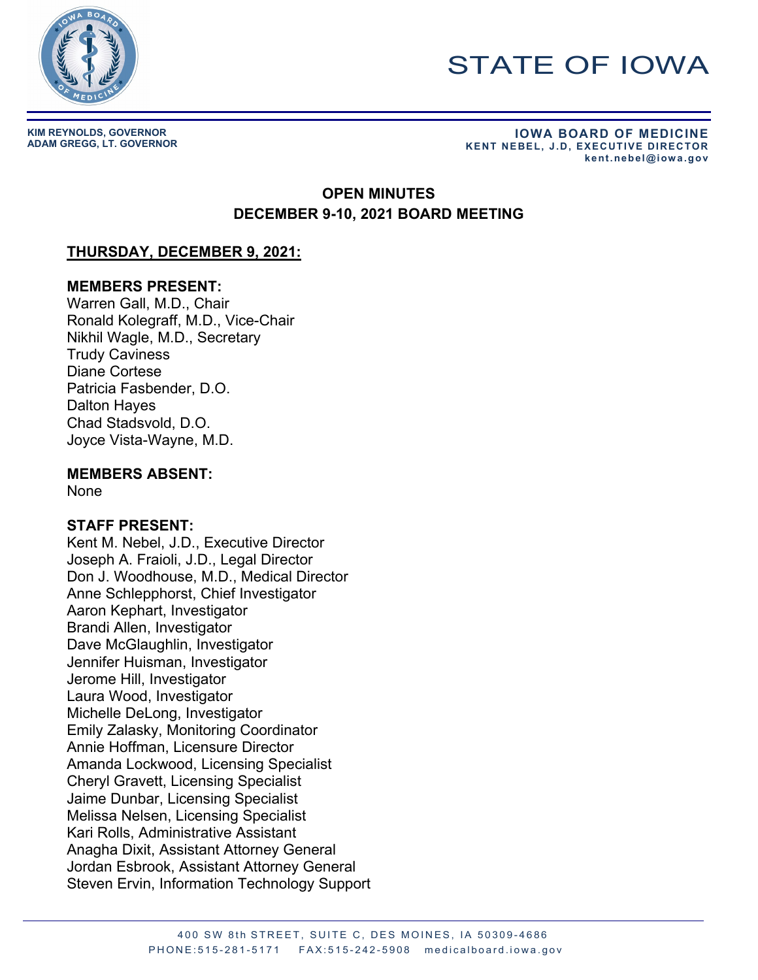

# STATE OF IOWA

**KIM REYNOLDS, GOVERNOR**

**ADAM GREGG, LT. GOVERNOR IOWA BOARD OF MEDICINE KENT NEBEL, J.D, EXECUTIVE DIRECTOR kent.nebel@iowa.gov** 

# **OPEN MINUTES DECEMBER 9-10, 2021 BOARD MEETING**

# **THURSDAY, DECEMBER 9, 2021:**

## **MEMBERS PRESENT:**

Warren Gall, M.D., Chair Ronald Kolegraff, M.D., Vice-Chair Nikhil Wagle, M.D., Secretary Trudy Caviness Diane Cortese Patricia Fasbender, D.O. Dalton Hayes Chad Stadsvold, D.O. Joyce Vista-Wayne, M.D.

# **MEMBERS ABSENT:**

None

# **STAFF PRESENT:**

Kent M. Nebel, J.D., Executive Director Joseph A. Fraioli, J.D., Legal Director Don J. Woodhouse, M.D., Medical Director Anne Schlepphorst, Chief Investigator Aaron Kephart, Investigator Brandi Allen, Investigator Dave McGlaughlin, Investigator Jennifer Huisman, Investigator Jerome Hill, Investigator Laura Wood, Investigator Michelle DeLong, Investigator Emily Zalasky, Monitoring Coordinator Annie Hoffman, Licensure Director Amanda Lockwood, Licensing Specialist Cheryl Gravett, Licensing Specialist Jaime Dunbar, Licensing Specialist Melissa Nelsen, Licensing Specialist Kari Rolls, Administrative Assistant Anagha Dixit, Assistant Attorney General Jordan Esbrook, Assistant Attorney General Steven Ervin, Information Technology Support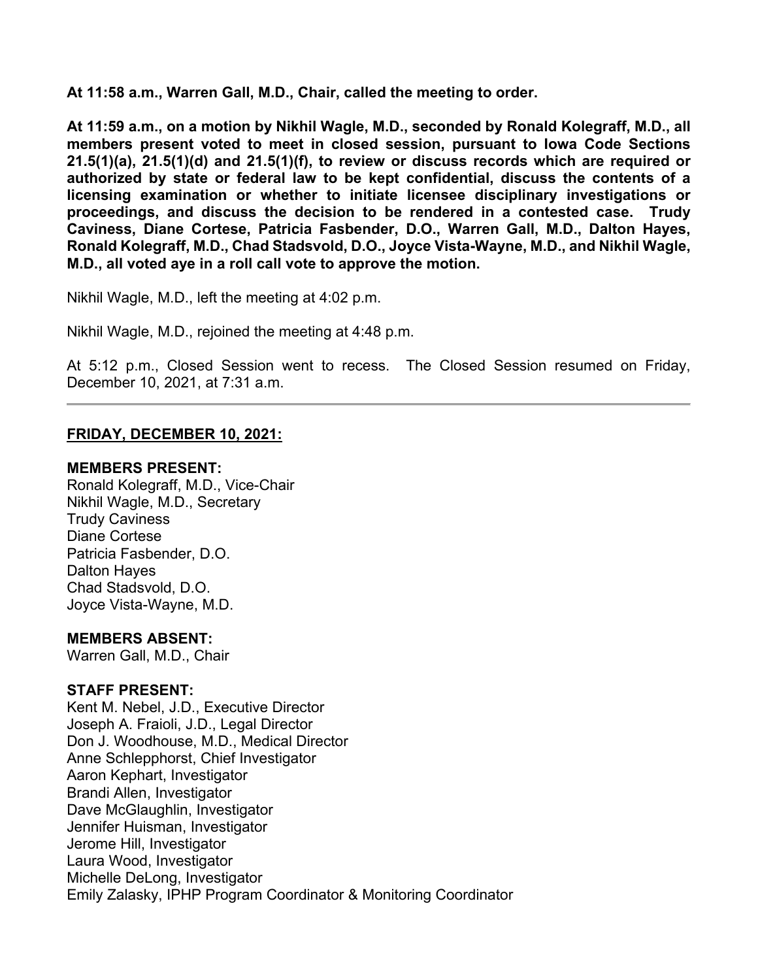**At 11:58 a.m., Warren Gall, M.D., Chair, called the meeting to order.**

**At 11:59 a.m., on a motion by Nikhil Wagle, M.D., seconded by Ronald Kolegraff, M.D., all members present voted to meet in closed session, pursuant to Iowa Code Sections 21.5(1)(a), 21.5(1)(d) and 21.5(1)(f), to review or discuss records which are required or authorized by state or federal law to be kept confidential, discuss the contents of a licensing examination or whether to initiate licensee disciplinary investigations or proceedings, and discuss the decision to be rendered in a contested case. Trudy Caviness, Diane Cortese, Patricia Fasbender, D.O., Warren Gall, M.D., Dalton Hayes, Ronald Kolegraff, M.D., Chad Stadsvold, D.O., Joyce Vista-Wayne, M.D., and Nikhil Wagle, M.D., all voted aye in a roll call vote to approve the motion.**

Nikhil Wagle, M.D., left the meeting at 4:02 p.m.

Nikhil Wagle, M.D., rejoined the meeting at 4:48 p.m.

At 5:12 p.m., Closed Session went to recess. The Closed Session resumed on Friday, December 10, 2021, at 7:31 a.m.

#### **FRIDAY, DECEMBER 10, 2021:**

#### **MEMBERS PRESENT:**

Ronald Kolegraff, M.D., Vice-Chair Nikhil Wagle, M.D., Secretary Trudy Caviness Diane Cortese Patricia Fasbender, D.O. Dalton Hayes Chad Stadsvold, D.O. Joyce Vista-Wayne, M.D.

#### **MEMBERS ABSENT:**

Warren Gall, M.D., Chair

#### **STAFF PRESENT:**

Kent M. Nebel, J.D., Executive Director Joseph A. Fraioli, J.D., Legal Director Don J. Woodhouse, M.D., Medical Director Anne Schlepphorst, Chief Investigator Aaron Kephart, Investigator Brandi Allen, Investigator Dave McGlaughlin, Investigator Jennifer Huisman, Investigator Jerome Hill, Investigator Laura Wood, Investigator Michelle DeLong, Investigator Emily Zalasky, IPHP Program Coordinator & Monitoring Coordinator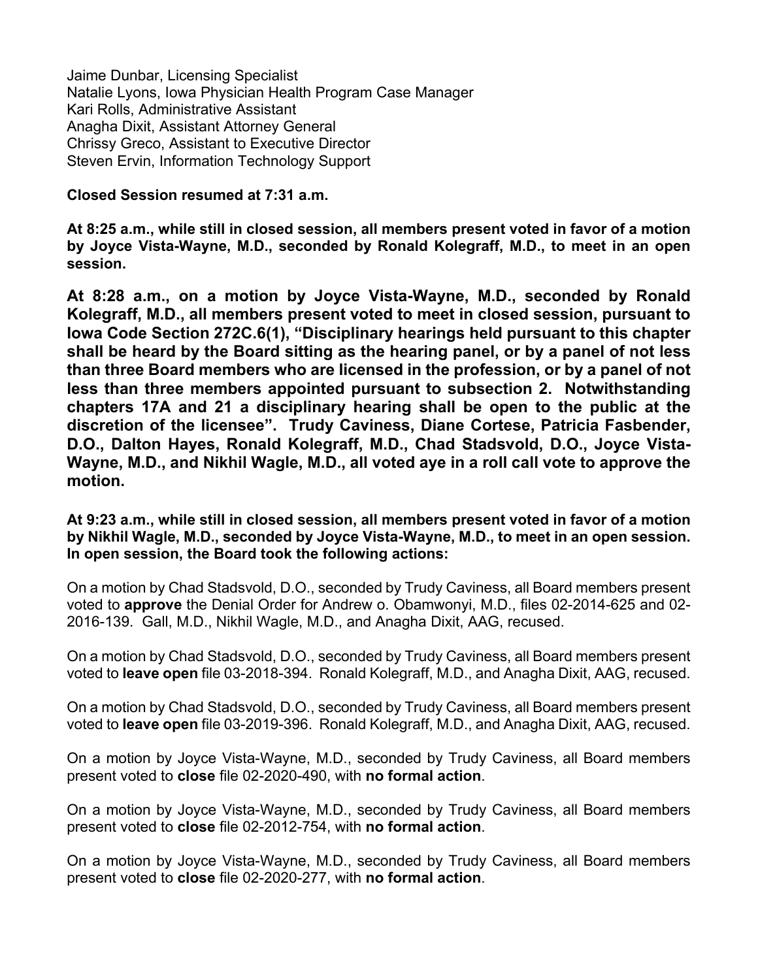Jaime Dunbar, Licensing Specialist Natalie Lyons, Iowa Physician Health Program Case Manager Kari Rolls, Administrative Assistant Anagha Dixit, Assistant Attorney General Chrissy Greco, Assistant to Executive Director Steven Ervin, Information Technology Support

#### **Closed Session resumed at 7:31 a.m.**

**At 8:25 a.m., while still in closed session, all members present voted in favor of a motion by Joyce Vista-Wayne, M.D., seconded by Ronald Kolegraff, M.D., to meet in an open session.**

**At 8:28 a.m., on a motion by Joyce Vista-Wayne, M.D., seconded by Ronald Kolegraff, M.D., all members present voted to meet in closed session, pursuant to Iowa Code Section 272C.6(1), "Disciplinary hearings held pursuant to this chapter shall be heard by the Board sitting as the hearing panel, or by a panel of not less than three Board members who are licensed in the profession, or by a panel of not less than three members appointed pursuant to subsection 2. Notwithstanding chapters 17A and 21 a disciplinary hearing shall be open to the public at the discretion of the licensee". Trudy Caviness, Diane Cortese, Patricia Fasbender, D.O., Dalton Hayes, Ronald Kolegraff, M.D., Chad Stadsvold, D.O., Joyce Vista-Wayne, M.D., and Nikhil Wagle, M.D., all voted aye in a roll call vote to approve the motion.**

## **At 9:23 a.m., while still in closed session, all members present voted in favor of a motion by Nikhil Wagle, M.D., seconded by Joyce Vista-Wayne, M.D., to meet in an open session. In open session, the Board took the following actions:**

On a motion by Chad Stadsvold, D.O., seconded by Trudy Caviness, all Board members present voted to **approve** the Denial Order for Andrew o. Obamwonyi, M.D., files 02-2014-625 and 02- 2016-139. Gall, M.D., Nikhil Wagle, M.D., and Anagha Dixit, AAG, recused.

On a motion by Chad Stadsvold, D.O., seconded by Trudy Caviness, all Board members present voted to **leave open** file 03-2018-394. Ronald Kolegraff, M.D., and Anagha Dixit, AAG, recused.

On a motion by Chad Stadsvold, D.O., seconded by Trudy Caviness, all Board members present voted to **leave open** file 03-2019-396. Ronald Kolegraff, M.D., and Anagha Dixit, AAG, recused.

On a motion by Joyce Vista-Wayne, M.D., seconded by Trudy Caviness, all Board members present voted to **close** file 02-2020-490, with **no formal action**.

On a motion by Joyce Vista-Wayne, M.D., seconded by Trudy Caviness, all Board members present voted to **close** file 02-2012-754, with **no formal action**.

On a motion by Joyce Vista-Wayne, M.D., seconded by Trudy Caviness, all Board members present voted to **close** file 02-2020-277, with **no formal action**.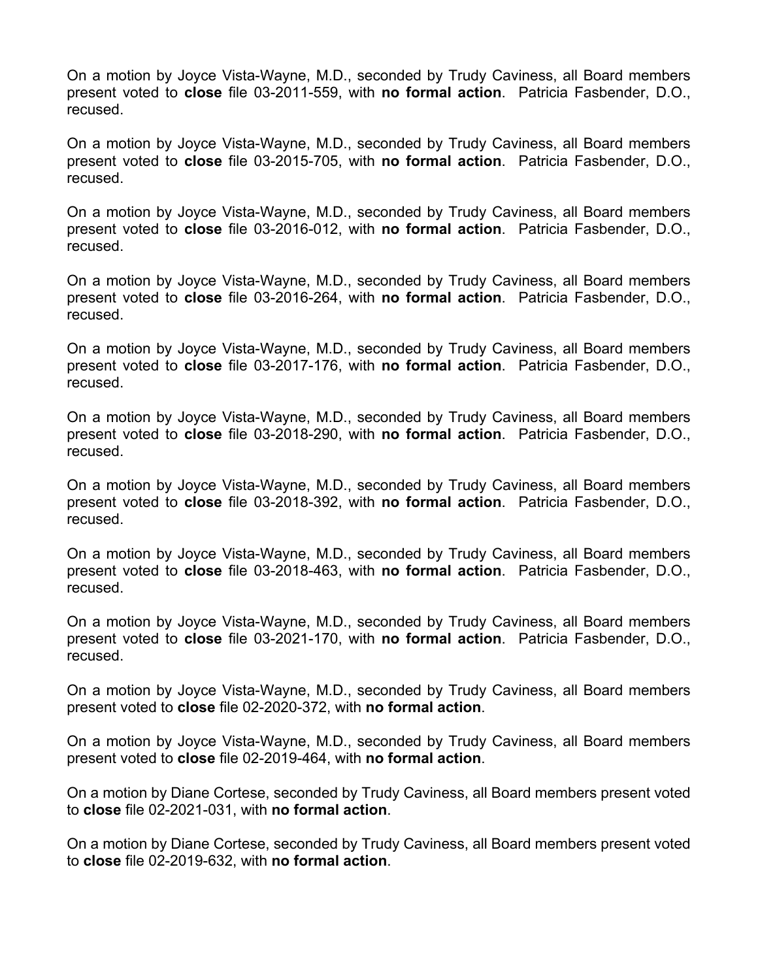On a motion by Joyce Vista-Wayne, M.D., seconded by Trudy Caviness, all Board members present voted to **close** file 03-2011-559, with **no formal action**. Patricia Fasbender, D.O., recused.

On a motion by Joyce Vista-Wayne, M.D., seconded by Trudy Caviness, all Board members present voted to **close** file 03-2015-705, with **no formal action**. Patricia Fasbender, D.O., recused.

On a motion by Joyce Vista-Wayne, M.D., seconded by Trudy Caviness, all Board members present voted to **close** file 03-2016-012, with **no formal action**. Patricia Fasbender, D.O., recused.

On a motion by Joyce Vista-Wayne, M.D., seconded by Trudy Caviness, all Board members present voted to **close** file 03-2016-264, with **no formal action**. Patricia Fasbender, D.O., recused.

On a motion by Joyce Vista-Wayne, M.D., seconded by Trudy Caviness, all Board members present voted to **close** file 03-2017-176, with **no formal action**. Patricia Fasbender, D.O., recused.

On a motion by Joyce Vista-Wayne, M.D., seconded by Trudy Caviness, all Board members present voted to **close** file 03-2018-290, with **no formal action**. Patricia Fasbender, D.O., recused.

On a motion by Joyce Vista-Wayne, M.D., seconded by Trudy Caviness, all Board members present voted to **close** file 03-2018-392, with **no formal action**. Patricia Fasbender, D.O., recused.

On a motion by Joyce Vista-Wayne, M.D., seconded by Trudy Caviness, all Board members present voted to **close** file 03-2018-463, with **no formal action**. Patricia Fasbender, D.O., recused.

On a motion by Joyce Vista-Wayne, M.D., seconded by Trudy Caviness, all Board members present voted to **close** file 03-2021-170, with **no formal action**. Patricia Fasbender, D.O., recused.

On a motion by Joyce Vista-Wayne, M.D., seconded by Trudy Caviness, all Board members present voted to **close** file 02-2020-372, with **no formal action**.

On a motion by Joyce Vista-Wayne, M.D., seconded by Trudy Caviness, all Board members present voted to **close** file 02-2019-464, with **no formal action**.

On a motion by Diane Cortese, seconded by Trudy Caviness, all Board members present voted to **close** file 02-2021-031, with **no formal action**.

On a motion by Diane Cortese, seconded by Trudy Caviness, all Board members present voted to **close** file 02-2019-632, with **no formal action**.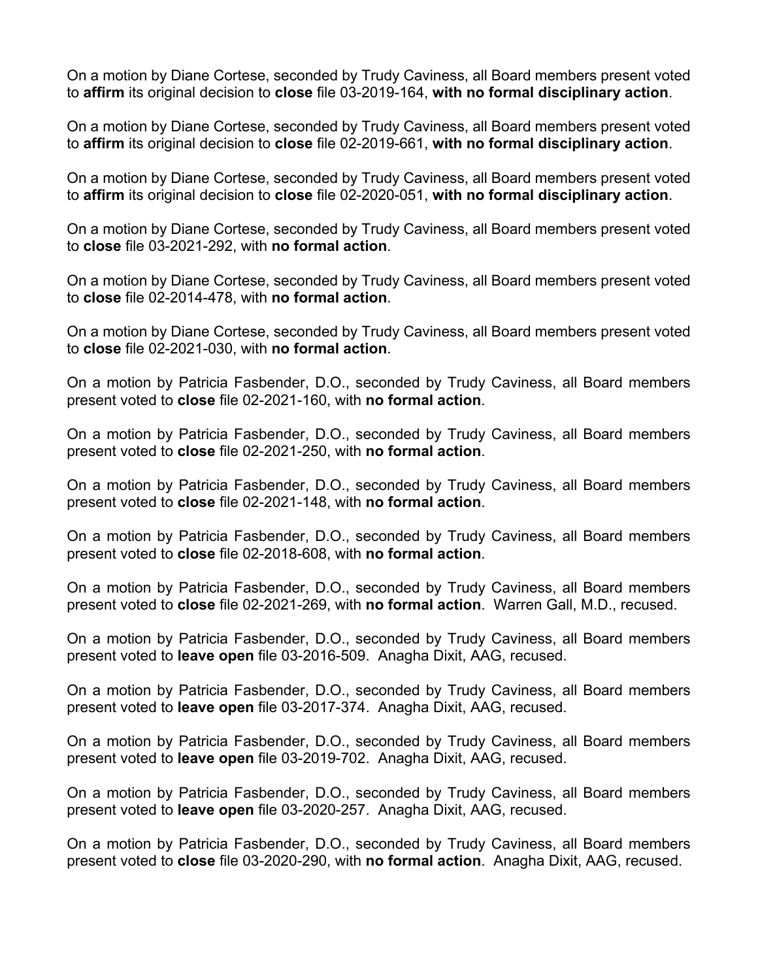On a motion by Diane Cortese, seconded by Trudy Caviness, all Board members present voted to **affirm** its original decision to **close** file 03-2019-164, **with no formal disciplinary action**.

On a motion by Diane Cortese, seconded by Trudy Caviness, all Board members present voted to **affirm** its original decision to **close** file 02-2019-661, **with no formal disciplinary action**.

On a motion by Diane Cortese, seconded by Trudy Caviness, all Board members present voted to **affirm** its original decision to **close** file 02-2020-051, **with no formal disciplinary action**.

On a motion by Diane Cortese, seconded by Trudy Caviness, all Board members present voted to **close** file 03-2021-292, with **no formal action**.

On a motion by Diane Cortese, seconded by Trudy Caviness, all Board members present voted to **close** file 02-2014-478, with **no formal action**.

On a motion by Diane Cortese, seconded by Trudy Caviness, all Board members present voted to **close** file 02-2021-030, with **no formal action**.

On a motion by Patricia Fasbender, D.O., seconded by Trudy Caviness, all Board members present voted to **close** file 02-2021-160, with **no formal action**.

On a motion by Patricia Fasbender, D.O., seconded by Trudy Caviness, all Board members present voted to **close** file 02-2021-250, with **no formal action**.

On a motion by Patricia Fasbender, D.O., seconded by Trudy Caviness, all Board members present voted to **close** file 02-2021-148, with **no formal action**.

On a motion by Patricia Fasbender, D.O., seconded by Trudy Caviness, all Board members present voted to **close** file 02-2018-608, with **no formal action**.

On a motion by Patricia Fasbender, D.O., seconded by Trudy Caviness, all Board members present voted to **close** file 02-2021-269, with **no formal action**. Warren Gall, M.D., recused.

On a motion by Patricia Fasbender, D.O., seconded by Trudy Caviness, all Board members present voted to **leave open** file 03-2016-509. Anagha Dixit, AAG, recused.

On a motion by Patricia Fasbender, D.O., seconded by Trudy Caviness, all Board members present voted to **leave open** file 03-2017-374. Anagha Dixit, AAG, recused.

On a motion by Patricia Fasbender, D.O., seconded by Trudy Caviness, all Board members present voted to **leave open** file 03-2019-702. Anagha Dixit, AAG, recused.

On a motion by Patricia Fasbender, D.O., seconded by Trudy Caviness, all Board members present voted to **leave open** file 03-2020-257. Anagha Dixit, AAG, recused.

On a motion by Patricia Fasbender, D.O., seconded by Trudy Caviness, all Board members present voted to **close** file 03-2020-290, with **no formal action**. Anagha Dixit, AAG, recused.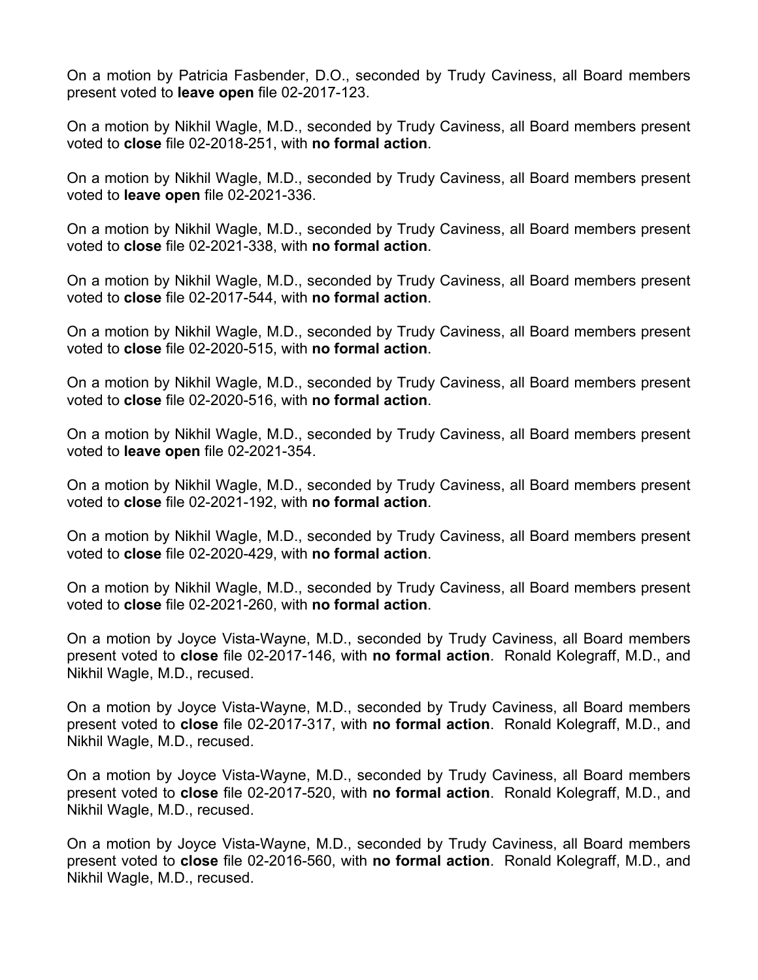On a motion by Patricia Fasbender, D.O., seconded by Trudy Caviness, all Board members present voted to **leave open** file 02-2017-123.

On a motion by Nikhil Wagle, M.D., seconded by Trudy Caviness, all Board members present voted to **close** file 02-2018-251, with **no formal action**.

On a motion by Nikhil Wagle, M.D., seconded by Trudy Caviness, all Board members present voted to **leave open** file 02-2021-336.

On a motion by Nikhil Wagle, M.D., seconded by Trudy Caviness, all Board members present voted to **close** file 02-2021-338, with **no formal action**.

On a motion by Nikhil Wagle, M.D., seconded by Trudy Caviness, all Board members present voted to **close** file 02-2017-544, with **no formal action**.

On a motion by Nikhil Wagle, M.D., seconded by Trudy Caviness, all Board members present voted to **close** file 02-2020-515, with **no formal action**.

On a motion by Nikhil Wagle, M.D., seconded by Trudy Caviness, all Board members present voted to **close** file 02-2020-516, with **no formal action**.

On a motion by Nikhil Wagle, M.D., seconded by Trudy Caviness, all Board members present voted to **leave open** file 02-2021-354.

On a motion by Nikhil Wagle, M.D., seconded by Trudy Caviness, all Board members present voted to **close** file 02-2021-192, with **no formal action**.

On a motion by Nikhil Wagle, M.D., seconded by Trudy Caviness, all Board members present voted to **close** file 02-2020-429, with **no formal action**.

On a motion by Nikhil Wagle, M.D., seconded by Trudy Caviness, all Board members present voted to **close** file 02-2021-260, with **no formal action**.

On a motion by Joyce Vista-Wayne, M.D., seconded by Trudy Caviness, all Board members present voted to **close** file 02-2017-146, with **no formal action**. Ronald Kolegraff, M.D., and Nikhil Wagle, M.D., recused.

On a motion by Joyce Vista-Wayne, M.D., seconded by Trudy Caviness, all Board members present voted to **close** file 02-2017-317, with **no formal action**. Ronald Kolegraff, M.D., and Nikhil Wagle, M.D., recused.

On a motion by Joyce Vista-Wayne, M.D., seconded by Trudy Caviness, all Board members present voted to **close** file 02-2017-520, with **no formal action**. Ronald Kolegraff, M.D., and Nikhil Wagle, M.D., recused.

On a motion by Joyce Vista-Wayne, M.D., seconded by Trudy Caviness, all Board members present voted to **close** file 02-2016-560, with **no formal action**. Ronald Kolegraff, M.D., and Nikhil Wagle, M.D., recused.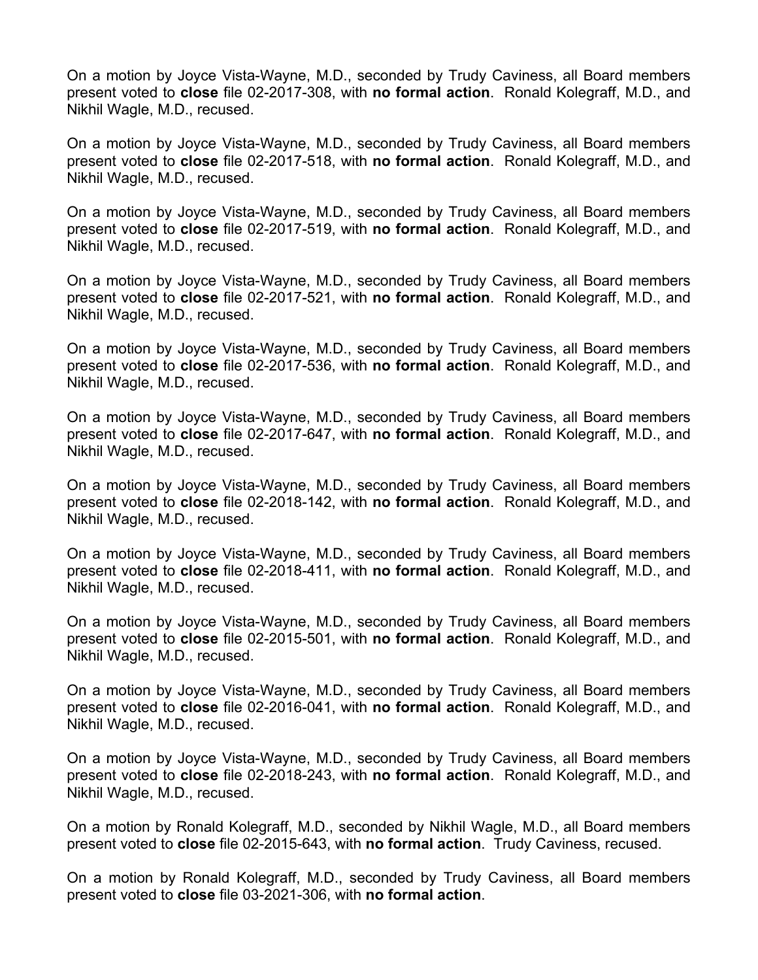On a motion by Joyce Vista-Wayne, M.D., seconded by Trudy Caviness, all Board members present voted to **close** file 02-2017-308, with **no formal action**. Ronald Kolegraff, M.D., and Nikhil Wagle, M.D., recused.

On a motion by Joyce Vista-Wayne, M.D., seconded by Trudy Caviness, all Board members present voted to **close** file 02-2017-518, with **no formal action**. Ronald Kolegraff, M.D., and Nikhil Wagle, M.D., recused.

On a motion by Joyce Vista-Wayne, M.D., seconded by Trudy Caviness, all Board members present voted to **close** file 02-2017-519, with **no formal action**. Ronald Kolegraff, M.D., and Nikhil Wagle, M.D., recused.

On a motion by Joyce Vista-Wayne, M.D., seconded by Trudy Caviness, all Board members present voted to **close** file 02-2017-521, with **no formal action**. Ronald Kolegraff, M.D., and Nikhil Wagle, M.D., recused.

On a motion by Joyce Vista-Wayne, M.D., seconded by Trudy Caviness, all Board members present voted to **close** file 02-2017-536, with **no formal action**. Ronald Kolegraff, M.D., and Nikhil Wagle, M.D., recused.

On a motion by Joyce Vista-Wayne, M.D., seconded by Trudy Caviness, all Board members present voted to **close** file 02-2017-647, with **no formal action**. Ronald Kolegraff, M.D., and Nikhil Wagle, M.D., recused.

On a motion by Joyce Vista-Wayne, M.D., seconded by Trudy Caviness, all Board members present voted to **close** file 02-2018-142, with **no formal action**. Ronald Kolegraff, M.D., and Nikhil Wagle, M.D., recused.

On a motion by Joyce Vista-Wayne, M.D., seconded by Trudy Caviness, all Board members present voted to **close** file 02-2018-411, with **no formal action**. Ronald Kolegraff, M.D., and Nikhil Wagle, M.D., recused.

On a motion by Joyce Vista-Wayne, M.D., seconded by Trudy Caviness, all Board members present voted to **close** file 02-2015-501, with **no formal action**. Ronald Kolegraff, M.D., and Nikhil Wagle, M.D., recused.

On a motion by Joyce Vista-Wayne, M.D., seconded by Trudy Caviness, all Board members present voted to **close** file 02-2016-041, with **no formal action**. Ronald Kolegraff, M.D., and Nikhil Wagle, M.D., recused.

On a motion by Joyce Vista-Wayne, M.D., seconded by Trudy Caviness, all Board members present voted to **close** file 02-2018-243, with **no formal action**. Ronald Kolegraff, M.D., and Nikhil Wagle, M.D., recused.

On a motion by Ronald Kolegraff, M.D., seconded by Nikhil Wagle, M.D., all Board members present voted to **close** file 02-2015-643, with **no formal action**. Trudy Caviness, recused.

On a motion by Ronald Kolegraff, M.D., seconded by Trudy Caviness, all Board members present voted to **close** file 03-2021-306, with **no formal action**.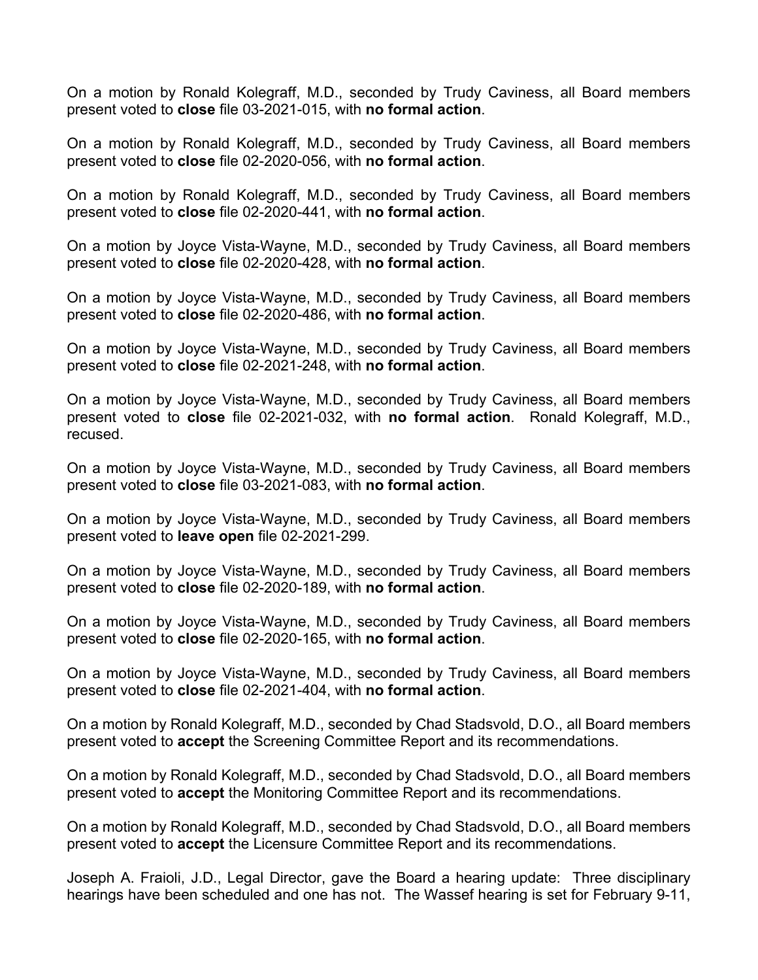On a motion by Ronald Kolegraff, M.D., seconded by Trudy Caviness, all Board members present voted to **close** file 03-2021-015, with **no formal action**.

On a motion by Ronald Kolegraff, M.D., seconded by Trudy Caviness, all Board members present voted to **close** file 02-2020-056, with **no formal action**.

On a motion by Ronald Kolegraff, M.D., seconded by Trudy Caviness, all Board members present voted to **close** file 02-2020-441, with **no formal action**.

On a motion by Joyce Vista-Wayne, M.D., seconded by Trudy Caviness, all Board members present voted to **close** file 02-2020-428, with **no formal action**.

On a motion by Joyce Vista-Wayne, M.D., seconded by Trudy Caviness, all Board members present voted to **close** file 02-2020-486, with **no formal action**.

On a motion by Joyce Vista-Wayne, M.D., seconded by Trudy Caviness, all Board members present voted to **close** file 02-2021-248, with **no formal action**.

On a motion by Joyce Vista-Wayne, M.D., seconded by Trudy Caviness, all Board members present voted to **close** file 02-2021-032, with **no formal action**. Ronald Kolegraff, M.D., recused.

On a motion by Joyce Vista-Wayne, M.D., seconded by Trudy Caviness, all Board members present voted to **close** file 03-2021-083, with **no formal action**.

On a motion by Joyce Vista-Wayne, M.D., seconded by Trudy Caviness, all Board members present voted to **leave open** file 02-2021-299.

On a motion by Joyce Vista-Wayne, M.D., seconded by Trudy Caviness, all Board members present voted to **close** file 02-2020-189, with **no formal action**.

On a motion by Joyce Vista-Wayne, M.D., seconded by Trudy Caviness, all Board members present voted to **close** file 02-2020-165, with **no formal action**.

On a motion by Joyce Vista-Wayne, M.D., seconded by Trudy Caviness, all Board members present voted to **close** file 02-2021-404, with **no formal action**.

On a motion by Ronald Kolegraff, M.D., seconded by Chad Stadsvold, D.O., all Board members present voted to **accept** the Screening Committee Report and its recommendations.

On a motion by Ronald Kolegraff, M.D., seconded by Chad Stadsvold, D.O., all Board members present voted to **accept** the Monitoring Committee Report and its recommendations.

On a motion by Ronald Kolegraff, M.D., seconded by Chad Stadsvold, D.O., all Board members present voted to **accept** the Licensure Committee Report and its recommendations.

Joseph A. Fraioli, J.D., Legal Director, gave the Board a hearing update: Three disciplinary hearings have been scheduled and one has not. The Wassef hearing is set for February 9-11,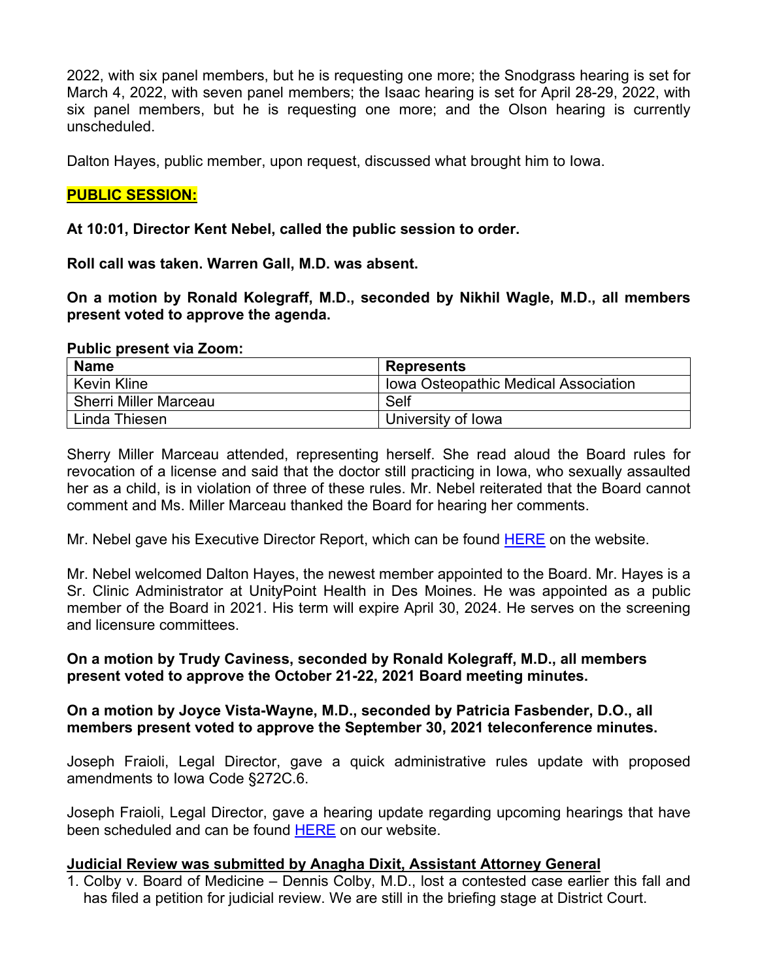2022, with six panel members, but he is requesting one more; the Snodgrass hearing is set for March 4, 2022, with seven panel members; the Isaac hearing is set for April 28-29, 2022, with six panel members, but he is requesting one more; and the Olson hearing is currently unscheduled.

Dalton Hayes, public member, upon request, discussed what brought him to Iowa.

# **PUBLIC SESSION:**

#### **At 10:01, Director Kent Nebel, called the public session to order.**

**Roll call was taken. Warren Gall, M.D. was absent.**

**On a motion by Ronald Kolegraff, M.D., seconded by Nikhil Wagle, M.D., all members present voted to approve the agenda.** 

#### **Public present via Zoom:**

| <b>Name</b>                  | <b>Represents</b>                           |
|------------------------------|---------------------------------------------|
| Kevin Kline                  | <b>Iowa Osteopathic Medical Association</b> |
| <b>Sherri Miller Marceau</b> | Self                                        |
| ⊥Linda Thiesen               | University of Iowa                          |

Sherry Miller Marceau attended, representing herself. She read aloud the Board rules for revocation of a license and said that the doctor still practicing in Iowa, who sexually assaulted her as a child, is in violation of three of these rules. Mr. Nebel reiterated that the Board cannot comment and Ms. Miller Marceau thanked the Board for hearing her comments.

Mr. Nebel gave his Executive Director Report, which can be found [HERE](https://medicalboard.iowa.gov/document/executive-directors-report-december-2021) on the website.

Mr. Nebel welcomed Dalton Hayes, the newest member appointed to the Board. Mr. Hayes is a Sr. Clinic Administrator at UnityPoint Health in Des Moines. He was appointed as a public member of the Board in 2021. His term will expire April 30, 2024. He serves on the screening and licensure committees.

#### **On a motion by Trudy Caviness, seconded by Ronald Kolegraff, M.D., all members present voted to approve the October 21-22, 2021 Board meeting minutes.**

#### **On a motion by Joyce Vista-Wayne, M.D., seconded by Patricia Fasbender, D.O., all members present voted to approve the September 30, 2021 teleconference minutes.**

Joseph Fraioli, Legal Director, gave a quick administrative rules update with proposed amendments to Iowa Code §272C.6.

Joseph Fraioli, Legal Director, gave a hearing update regarding upcoming hearings that have been scheduled and can be found [HERE](https://medicalboard.iowa.gov/hearing-schedule) on our website.

#### **Judicial Review was submitted by Anagha Dixit, Assistant Attorney General**

1. Colby v. Board of Medicine – Dennis Colby, M.D., lost a contested case earlier this fall and has filed a petition for judicial review. We are still in the briefing stage at District Court.